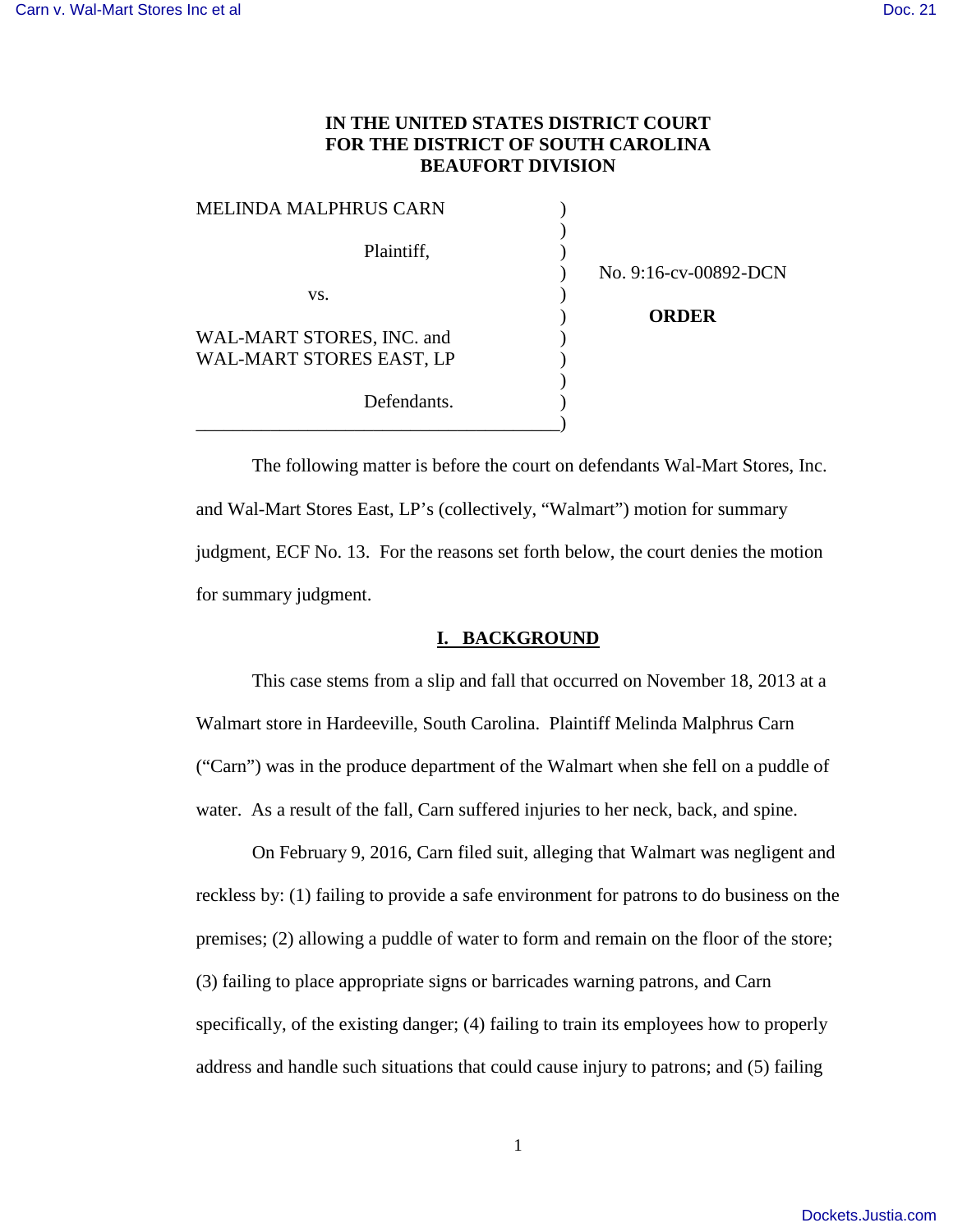# **IN THE UNITED STATES DISTRICT COURT FOR THE DISTRICT OF SOUTH CAROLINA BEAUFORT DIVISION**

| <b>MELINDA MALPHRUS CARN</b> |                       |
|------------------------------|-----------------------|
| Plaintiff,                   | No. 9:16-cv-00892-DCN |
| VS.                          |                       |
|                              | <b>ORDER</b>          |
| WAL-MART STORES, INC. and    |                       |
| WAL-MART STORES EAST, LP     |                       |
| Defendants.                  |                       |

 The following matter is before the court on defendants Wal-Mart Stores, Inc. and Wal-Mart Stores East, LP's (collectively, "Walmart") motion for summary judgment, ECF No. 13. For the reasons set forth below, the court denies the motion for summary judgment.

#### **I. BACKGROUND**

This case stems from a slip and fall that occurred on November 18, 2013 at a Walmart store in Hardeeville, South Carolina. Plaintiff Melinda Malphrus Carn ("Carn") was in the produce department of the Walmart when she fell on a puddle of water. As a result of the fall, Carn suffered injuries to her neck, back, and spine.

 On February 9, 2016, Carn filed suit, alleging that Walmart was negligent and reckless by: (1) failing to provide a safe environment for patrons to do business on the premises; (2) allowing a puddle of water to form and remain on the floor of the store; (3) failing to place appropriate signs or barricades warning patrons, and Carn specifically, of the existing danger; (4) failing to train its employees how to properly address and handle such situations that could cause injury to patrons; and (5) failing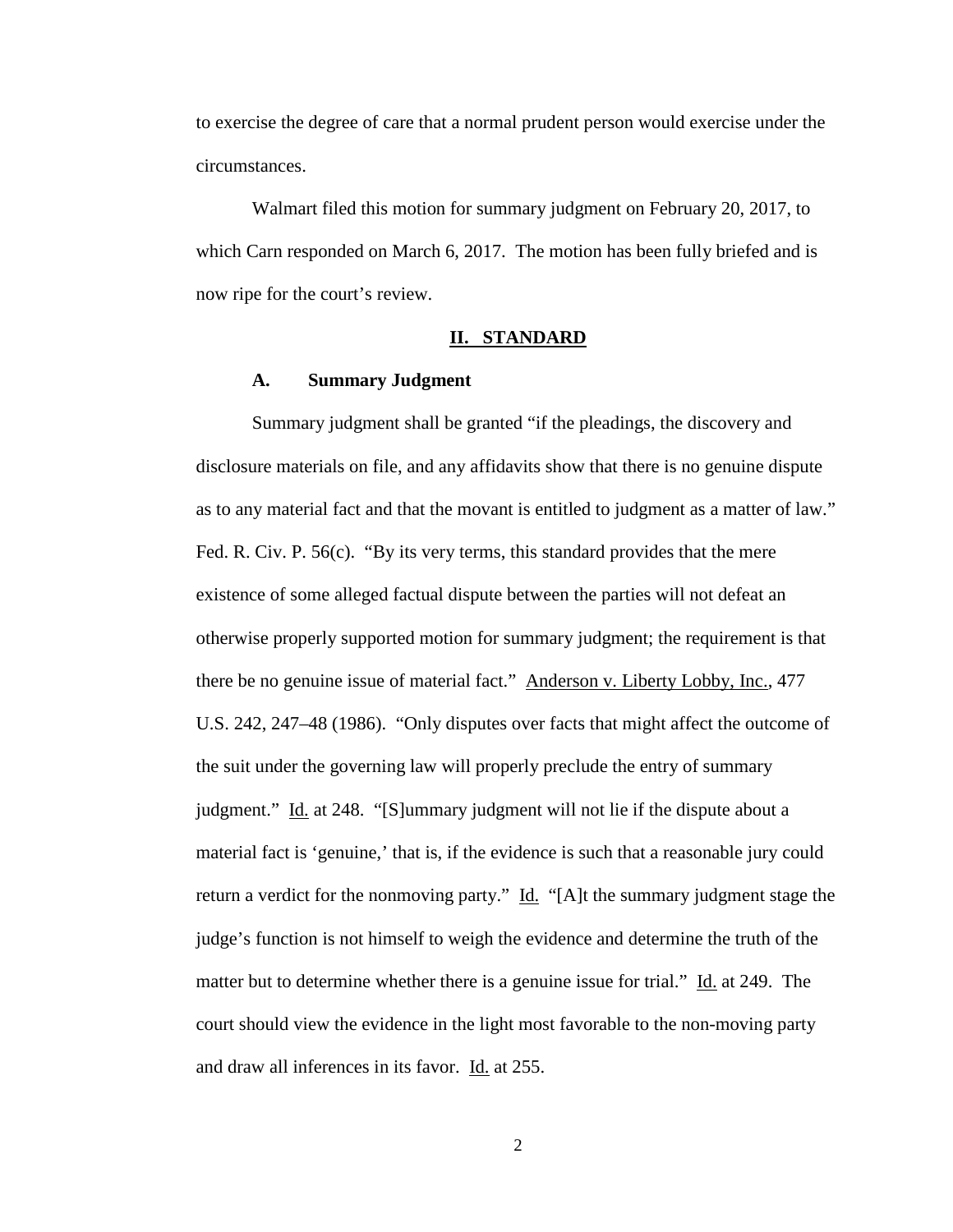to exercise the degree of care that a normal prudent person would exercise under the circumstances.

Walmart filed this motion for summary judgment on February 20, 2017, to which Carn responded on March 6, 2017. The motion has been fully briefed and is now ripe for the court's review.

# **II. STANDARD**

# **A. Summary Judgment**

 Summary judgment shall be granted "if the pleadings, the discovery and disclosure materials on file, and any affidavits show that there is no genuine dispute as to any material fact and that the movant is entitled to judgment as a matter of law." Fed. R. Civ. P. 56(c). "By its very terms, this standard provides that the mere existence of some alleged factual dispute between the parties will not defeat an otherwise properly supported motion for summary judgment; the requirement is that there be no genuine issue of material fact." Anderson v. Liberty Lobby, Inc., 477 U.S. 242, 247–48 (1986). "Only disputes over facts that might affect the outcome of the suit under the governing law will properly preclude the entry of summary judgment." Id. at 248. "[S]ummary judgment will not lie if the dispute about a material fact is 'genuine,' that is, if the evidence is such that a reasonable jury could return a verdict for the nonmoving party." Id. "[A]t the summary judgment stage the judge's function is not himself to weigh the evidence and determine the truth of the matter but to determine whether there is a genuine issue for trial." Id. at 249. The court should view the evidence in the light most favorable to the non-moving party and draw all inferences in its favor. Id. at 255.

2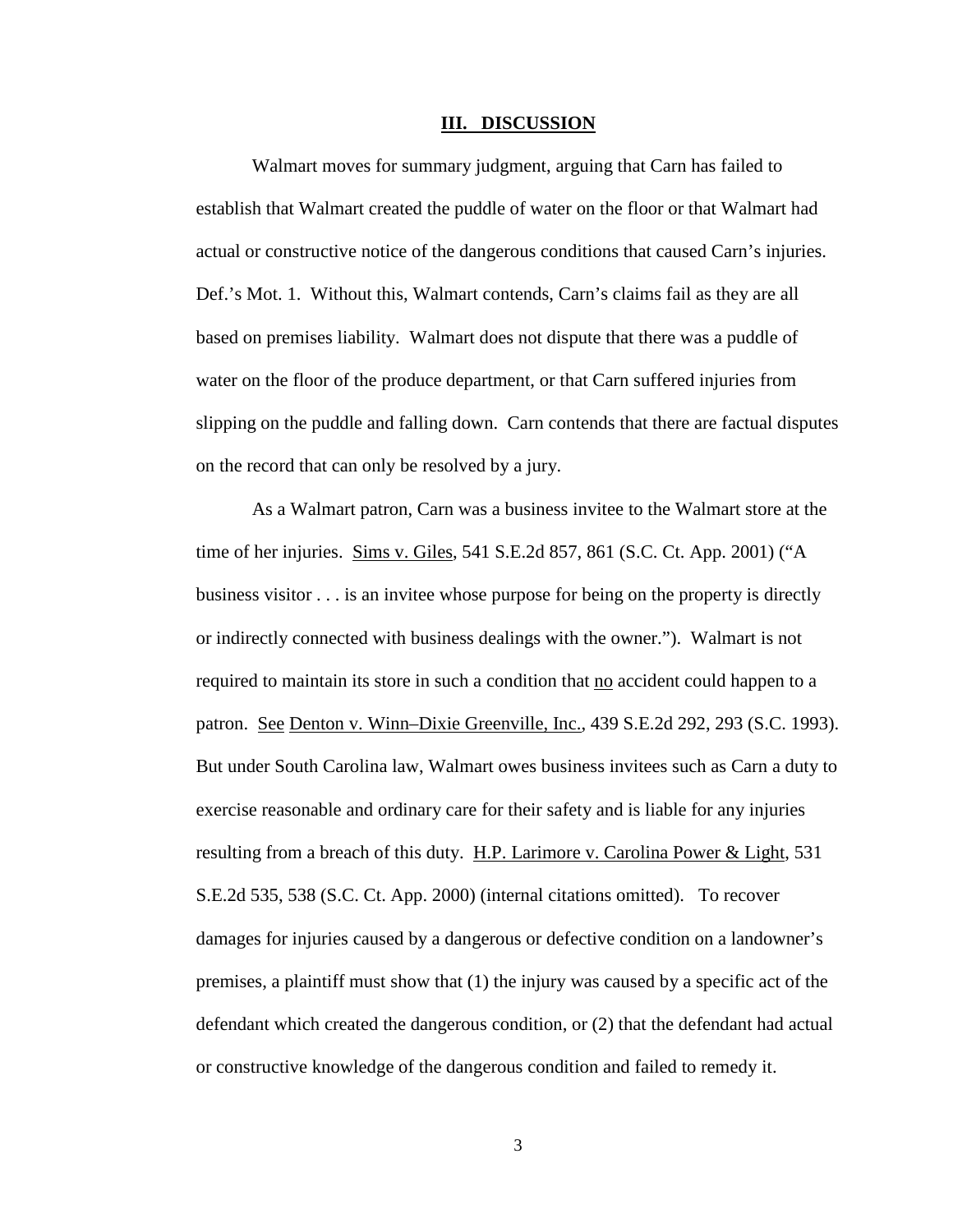#### **III. DISCUSSION**

Walmart moves for summary judgment, arguing that Carn has failed to establish that Walmart created the puddle of water on the floor or that Walmart had actual or constructive notice of the dangerous conditions that caused Carn's injuries. Def.'s Mot. 1. Without this, Walmart contends, Carn's claims fail as they are all based on premises liability. Walmart does not dispute that there was a puddle of water on the floor of the produce department, or that Carn suffered injuries from slipping on the puddle and falling down. Carn contends that there are factual disputes on the record that can only be resolved by a jury.

As a Walmart patron, Carn was a business invitee to the Walmart store at the time of her injuries. Sims v. Giles, 541 S.E.2d 857, 861 (S.C. Ct. App. 2001) ("A business visitor . . . is an invitee whose purpose for being on the property is directly or indirectly connected with business dealings with the owner."). Walmart is not required to maintain its store in such a condition that no accident could happen to a patron. See Denton v. Winn–Dixie Greenville, Inc., 439 S.E.2d 292, 293 (S.C. 1993). But under South Carolina law, Walmart owes business invitees such as Carn a duty to exercise reasonable and ordinary care for their safety and is liable for any injuries resulting from a breach of this duty. H.P. Larimore v. Carolina Power & Light, 531 S.E.2d 535, 538 (S.C. Ct. App. 2000) (internal citations omitted). To recover damages for injuries caused by a dangerous or defective condition on a landowner's premises, a plaintiff must show that (1) the injury was caused by a specific act of the defendant which created the dangerous condition, or (2) that the defendant had actual or constructive knowledge of the dangerous condition and failed to remedy it.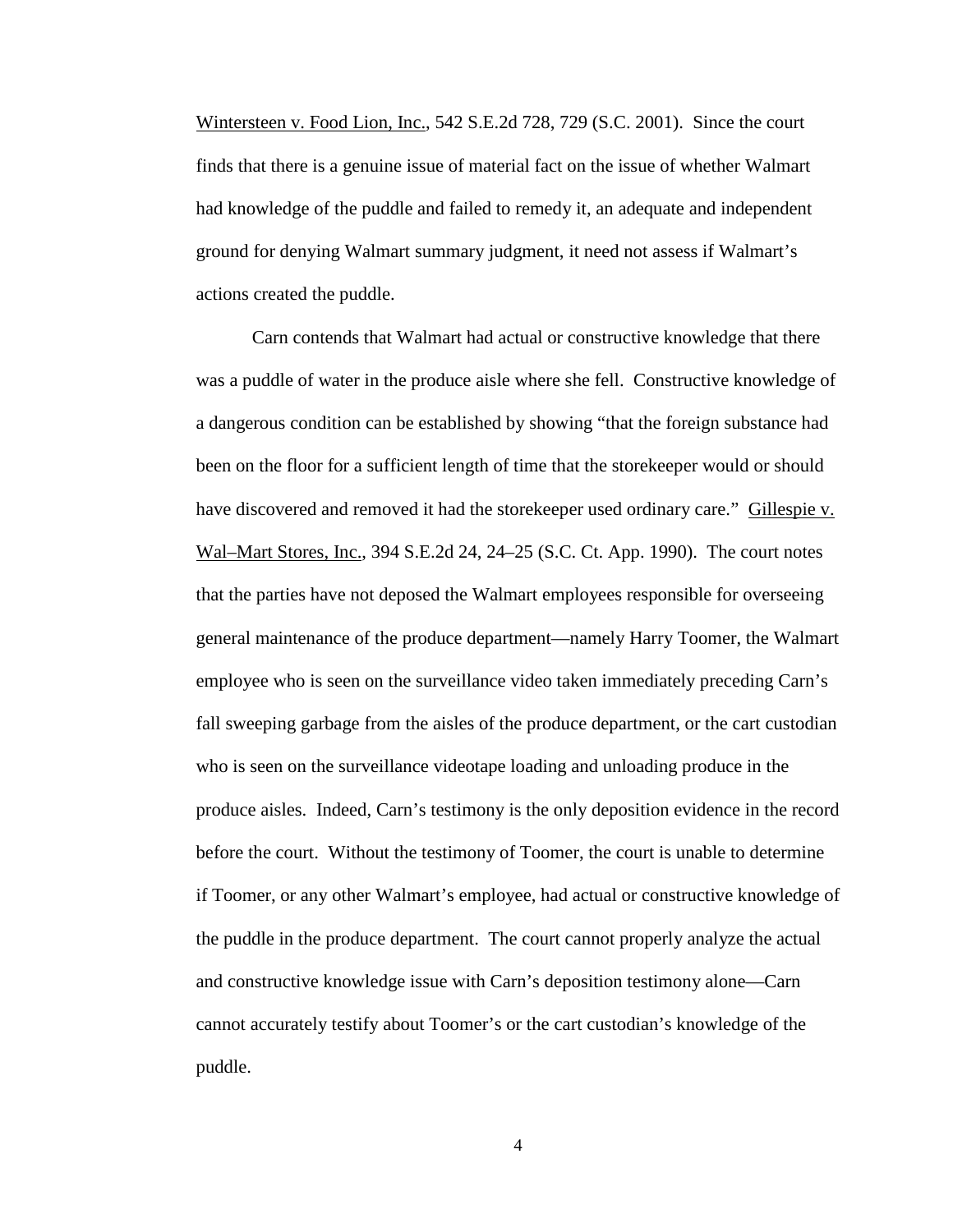Wintersteen v. Food Lion, Inc., 542 S.E.2d 728, 729 (S.C. 2001). Since the court finds that there is a genuine issue of material fact on the issue of whether Walmart had knowledge of the puddle and failed to remedy it, an adequate and independent ground for denying Walmart summary judgment, it need not assess if Walmart's actions created the puddle.

 Carn contends that Walmart had actual or constructive knowledge that there was a puddle of water in the produce aisle where she fell. Constructive knowledge of a dangerous condition can be established by showing "that the foreign substance had been on the floor for a sufficient length of time that the storekeeper would or should have discovered and removed it had the storekeeper used ordinary care." Gillespie v. Wal–Mart Stores, Inc., 394 S.E.2d 24, 24–25 (S.C. Ct. App. 1990). The court notes that the parties have not deposed the Walmart employees responsible for overseeing general maintenance of the produce department—namely Harry Toomer, the Walmart employee who is seen on the surveillance video taken immediately preceding Carn's fall sweeping garbage from the aisles of the produce department, or the cart custodian who is seen on the surveillance videotape loading and unloading produce in the produce aisles. Indeed, Carn's testimony is the only deposition evidence in the record before the court. Without the testimony of Toomer, the court is unable to determine if Toomer, or any other Walmart's employee, had actual or constructive knowledge of the puddle in the produce department. The court cannot properly analyze the actual and constructive knowledge issue with Carn's deposition testimony alone—Carn cannot accurately testify about Toomer's or the cart custodian's knowledge of the puddle.

4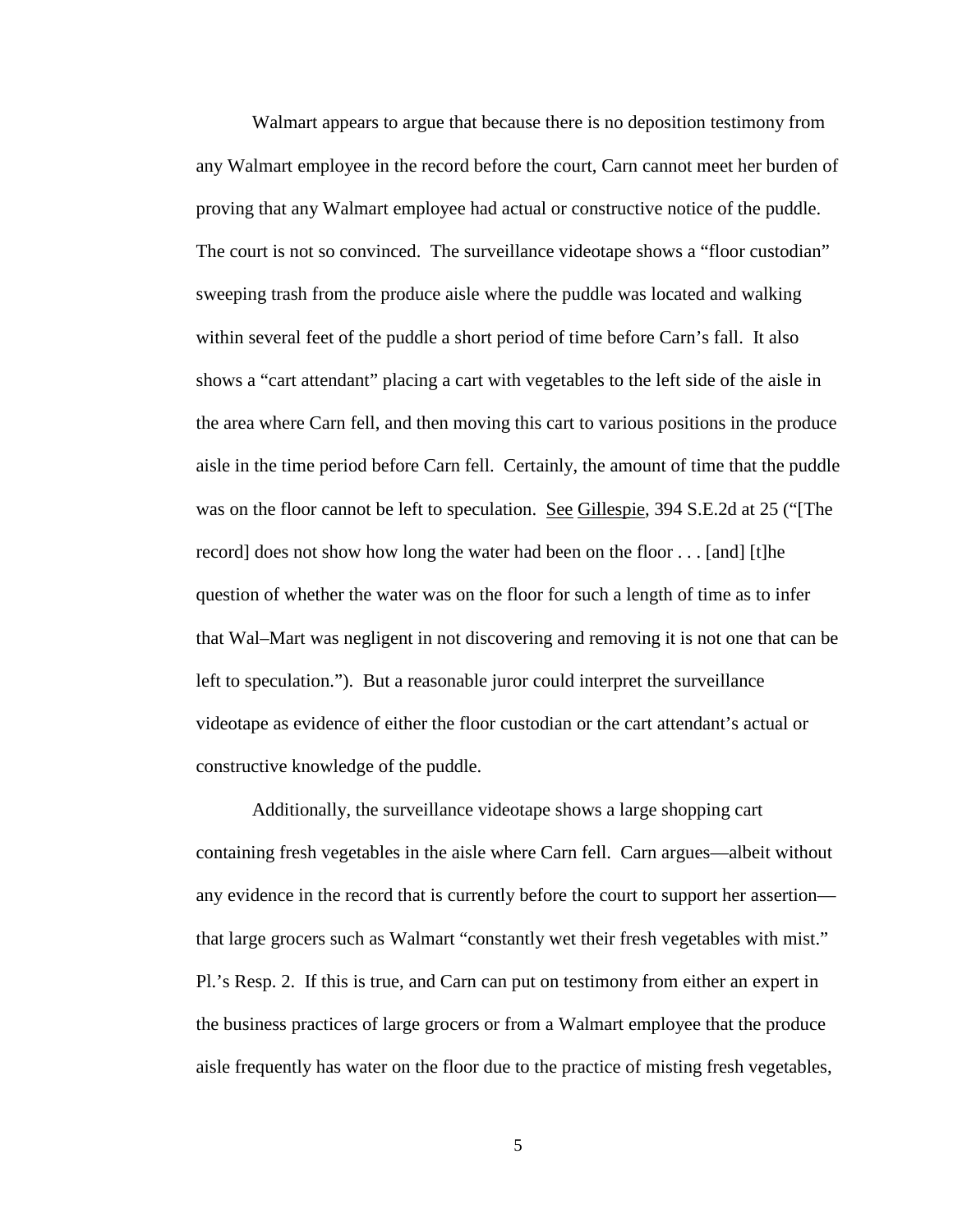Walmart appears to argue that because there is no deposition testimony from any Walmart employee in the record before the court, Carn cannot meet her burden of proving that any Walmart employee had actual or constructive notice of the puddle. The court is not so convinced. The surveillance videotape shows a "floor custodian" sweeping trash from the produce aisle where the puddle was located and walking within several feet of the puddle a short period of time before Carn's fall. It also shows a "cart attendant" placing a cart with vegetables to the left side of the aisle in the area where Carn fell, and then moving this cart to various positions in the produce aisle in the time period before Carn fell. Certainly, the amount of time that the puddle was on the floor cannot be left to speculation. <u>See Gillespie</u>, 394 S.E.2d at 25 ("The record] does not show how long the water had been on the floor . . . [and] [t]he question of whether the water was on the floor for such a length of time as to infer that Wal–Mart was negligent in not discovering and removing it is not one that can be left to speculation."). But a reasonable juror could interpret the surveillance videotape as evidence of either the floor custodian or the cart attendant's actual or constructive knowledge of the puddle.

 Additionally, the surveillance videotape shows a large shopping cart containing fresh vegetables in the aisle where Carn fell. Carn argues—albeit without any evidence in the record that is currently before the court to support her assertion that large grocers such as Walmart "constantly wet their fresh vegetables with mist." Pl.'s Resp. 2. If this is true, and Carn can put on testimony from either an expert in the business practices of large grocers or from a Walmart employee that the produce aisle frequently has water on the floor due to the practice of misting fresh vegetables,

5